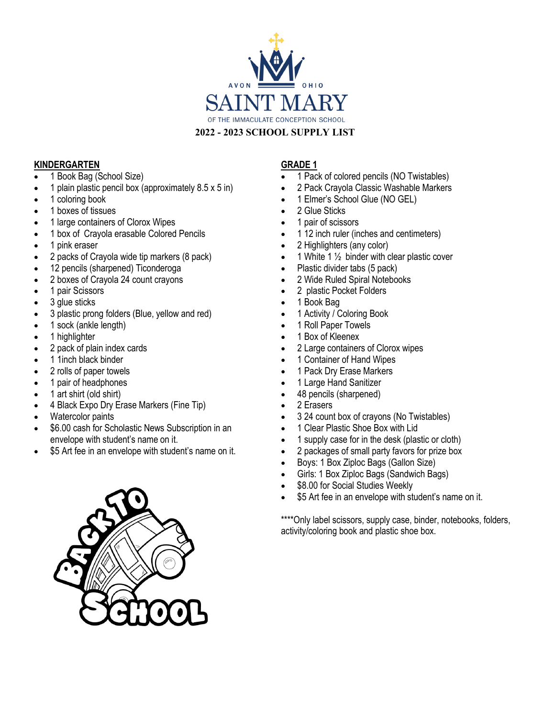

### **2022 - 2023 SCHOOL SUPPLY LIST**

#### **KINDERGARTEN**

- 1 Book Bag (School Size)
- 1 plain plastic pencil box (approximately 8.5 x 5 in)
- 1 coloring book
- 1 boxes of tissues
- 1 large containers of Clorox Wipes
- 1 box of Crayola erasable Colored Pencils
- 1 pink eraser
- 2 packs of Crayola wide tip markers (8 pack)
- 12 pencils (sharpened) Ticonderoga
- 2 boxes of Crayola 24 count crayons
- 1 pair Scissors
- 3 glue sticks
- 3 plastic prong folders (Blue, yellow and red)
- 1 sock (ankle length)
- 1 highlighter
- 2 pack of plain index cards
- 1 1inch black binder
- 2 rolls of paper towels
- 1 pair of headphones
- 1 art shirt (old shirt)
- 4 Black Expo Dry Erase Markers (Fine Tip)
- Watercolor paints
- \$6.00 cash for Scholastic News Subscription in an envelope with student's name on it.
- \$5 Art fee in an envelope with student's name on it.

## **GRADE 1**

- 1 Pack of colored pencils (NO Twistables)
- 2 Pack Crayola Classic Washable Markers
- 1 Elmer's School Glue (NO GEL)
- 2 Glue Sticks
- 1 pair of scissors
- 1 12 inch ruler (inches and centimeters)
- 2 Highlighters (any color)
- 1 White 1  $\frac{1}{2}$  binder with clear plastic cover
- Plastic divider tabs (5 pack)
- 2 Wide Ruled Spiral Notebooks
- 2 plastic Pocket Folders
- 1 Book Bag
- 1 Activity / Coloring Book
- 1 Roll Paper Towels
- 1 Box of Kleenex
- 2 Large containers of Clorox wipes
- 1 Container of Hand Wipes
- 1 Pack Dry Erase Markers
- 1 Large Hand Sanitizer
- 48 pencils (sharpened)
- 2 Erasers
- 3 24 count box of crayons (No Twistables)
- 1 Clear Plastic Shoe Box with Lid
- 1 supply case for in the desk (plastic or cloth)
- 2 packages of small party favors for prize box
- Boys: 1 Box Ziploc Bags (Gallon Size)
- Girls: 1 Box Ziploc Bags (Sandwich Bags)
- \$8.00 for Social Studies Weekly
- \$5 Art fee in an envelope with student's name on it.

\*\*\*\*Only label scissors, supply case, binder, notebooks, folders, activity/coloring book and plastic shoe box.

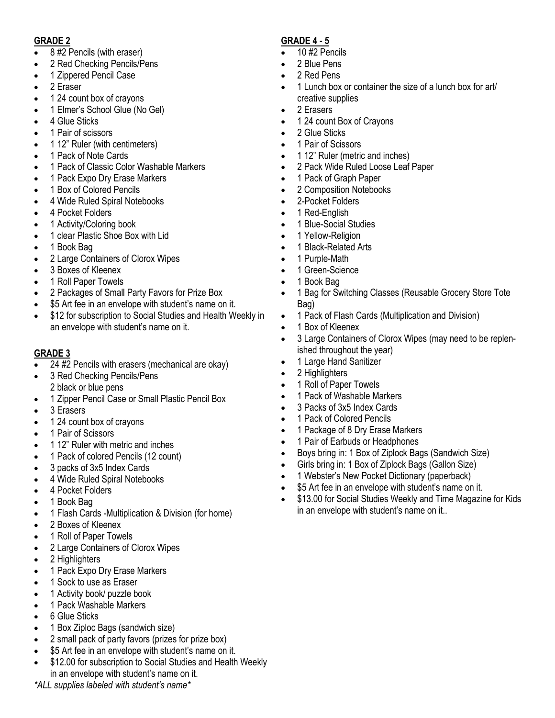### **GRADE 2**

- 8 #2 Pencils (with eraser)
- 2 Red Checking Pencils/Pens
- 1 Zippered Pencil Case
- 2 Eraser
- 1 24 count box of crayons
- 1 Elmer's School Glue (No Gel)
- 4 Glue Sticks
- 1 Pair of scissors
- 1 12" Ruler (with centimeters)
- 1 Pack of Note Cards
- 1 Pack of Classic Color Washable Markers
- 1 Pack Expo Dry Erase Markers
- 1 Box of Colored Pencils
- 4 Wide Ruled Spiral Notebooks
- 4 Pocket Folders
- 1 Activity/Coloring book
- 1 clear Plastic Shoe Box with Lid
- 1 Book Bag
- 2 Large Containers of Clorox Wipes
- 3 Boxes of Kleenex
- 1 Roll Paper Towels
- 2 Packages of Small Party Favors for Prize Box
- \$5 Art fee in an envelope with student's name on it.
- \$12 for subscription to Social Studies and Health Weekly in an envelope with student's name on it.

# **GRADE 3**

- $\overline{24}$  #2 Pencils with erasers (mechanical are okay)
- 3 Red Checking Pencils/Pens 2 black or blue pens
- 1 Zipper Pencil Case or Small Plastic Pencil Box
- 3 Erasers
- 1 24 count box of crayons
- 1 Pair of Scissors
- 1 12" Ruler with metric and inches
- 1 Pack of colored Pencils (12 count)
- 3 packs of 3x5 Index Cards
- 4 Wide Ruled Spiral Notebooks
- 4 Pocket Folders
- 1 Book Bag
- 1 Flash Cards -Multiplication & Division (for home)
- 2 Boxes of Kleenex
- 1 Roll of Paper Towels
- 2 Large Containers of Clorox Wipes
- 2 Highlighters
- 1 Pack Expo Dry Erase Markers
- 1 Sock to use as Eraser
- 1 Activity book/ puzzle book
- 1 Pack Washable Markers
- 6 Glue Sticks
- 1 Box Ziploc Bags (sandwich size)
- 2 small pack of party favors (prizes for prize box)
- \$5 Art fee in an envelope with student's name on it.
- \$12.00 for subscription to Social Studies and Health Weekly in an envelope with student's name on it.

*\*ALL supplies labeled with student's name\**

# **GRADE 4 - 5**

- $\overline{\bullet}$  10 #2 Pencils
- 2 Blue Pens
- 2 Red Pens
- 1 Lunch box or container the size of a lunch box for art/ creative supplies
- 2 Erasers
- 1 24 count Box of Crayons
- 2 Glue Sticks
- 1 Pair of Scissors
- 1 12" Ruler (metric and inches)
- 2 Pack Wide Ruled Loose Leaf Paper
- 1 Pack of Graph Paper
- 2 Composition Notebooks
- 2-Pocket Folders
- 1 Red-English
- 1 Blue-Social Studies
- 1 Yellow-Religion
- 1 Black-Related Arts
- 1 Purple-Math
- 1 Green-Science
- 1 Book Bag
- 1 Bag for Switching Classes (Reusable Grocery Store Tote Bag)
- 1 Pack of Flash Cards (Multiplication and Division)
- 1 Box of Kleenex
- 3 Large Containers of Clorox Wipes (may need to be replenished throughout the year)
- 1 Large Hand Sanitizer
- 2 Highlighters
- 1 Roll of Paper Towels
- 1 Pack of Washable Markers
- 3 Packs of 3x5 Index Cards
- 1 Pack of Colored Pencils
- 1 Package of 8 Dry Erase Markers
- 1 Pair of Earbuds or Headphones
- Boys bring in: 1 Box of Ziplock Bags (Sandwich Size)
- Girls bring in: 1 Box of Ziplock Bags (Gallon Size)
- 1 Webster's New Pocket Dictionary (paperback)
- \$5 Art fee in an envelope with student's name on it.
- \$13.00 for Social Studies Weekly and Time Magazine for Kids in an envelope with student's name on it..